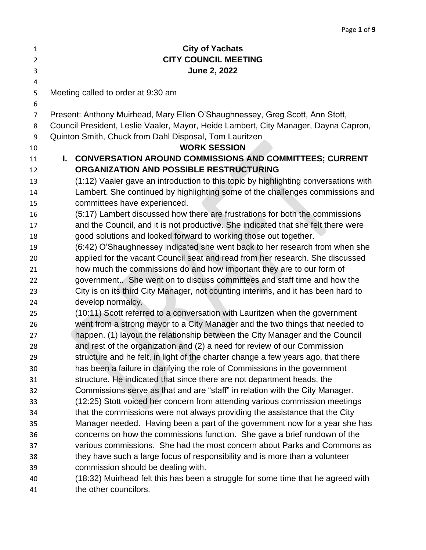| $\mathbf{1}$   | <b>City of Yachats</b>                                                                                                                                              |  |
|----------------|---------------------------------------------------------------------------------------------------------------------------------------------------------------------|--|
| $\overline{2}$ | <b>CITY COUNCIL MEETING</b>                                                                                                                                         |  |
| 3              | June 2, 2022                                                                                                                                                        |  |
| 4              |                                                                                                                                                                     |  |
| 5              | Meeting called to order at 9:30 am                                                                                                                                  |  |
| 6              |                                                                                                                                                                     |  |
| 7              | Present: Anthony Muirhead, Mary Ellen O'Shaughnessey, Greg Scott, Ann Stott,<br>Council President, Leslie Vaaler, Mayor, Heide Lambert, City Manager, Dayna Capron, |  |
| 8<br>9         | Quinton Smith, Chuck from Dahl Disposal, Tom Lauritzen                                                                                                              |  |
| 10             | <b>WORK SESSION</b>                                                                                                                                                 |  |
| 11             | L.<br><b>CONVERSATION AROUND COMMISSIONS AND COMMITTEES; CURRENT</b>                                                                                                |  |
| 12             | ORGANIZATION AND POSSIBLE RESTRUCTURING                                                                                                                             |  |
| 13             | (1:12) Vaaler gave an introduction to this topic by highlighting conversations with                                                                                 |  |
| 14             | Lambert. She continued by highlighting some of the challenges commissions and                                                                                       |  |
| 15             | committees have experienced.                                                                                                                                        |  |
| 16             | (5:17) Lambert discussed how there are frustrations for both the commissions                                                                                        |  |
| 17             | and the Council, and it is not productive. She indicated that she felt there were                                                                                   |  |
| 18             | good solutions and looked forward to working those out together.                                                                                                    |  |
| 19             | (6:42) O'Shaughnessey indicated she went back to her research from when she                                                                                         |  |
| 20             | applied for the vacant Council seat and read from her research. She discussed                                                                                       |  |
| 21             | how much the commissions do and how important they are to our form of                                                                                               |  |
| 22             | government She went on to discuss committees and staff time and how the                                                                                             |  |
| 23             | City is on its third City Manager, not counting interims, and it has been hard to                                                                                   |  |
| 24             | develop normalcy.                                                                                                                                                   |  |
| 25             | (10:11) Scott referred to a conversation with Lauritzen when the government                                                                                         |  |
| 26             | went from a strong mayor to a City Manager and the two things that needed to                                                                                        |  |
| 27             | happen. (1) layout the relationship between the City Manager and the Council                                                                                        |  |
| 28             | and rest of the organization and (2) a need for review of our Commission                                                                                            |  |
| 29             | structure and he felt, in light of the charter change a few years ago, that there                                                                                   |  |
| 30             | has been a failure in clarifying the role of Commissions in the government                                                                                          |  |
| 31             | structure. He indicated that since there are not department heads, the                                                                                              |  |
| 32             | Commissions serve as that and are "staff" in relation with the City Manager.                                                                                        |  |
| 33             | (12:25) Stott voiced her concern from attending various commission meetings                                                                                         |  |
| 34             | that the commissions were not always providing the assistance that the City                                                                                         |  |
| 35             | Manager needed. Having been a part of the government now for a year she has                                                                                         |  |
| 36             | concerns on how the commissions function. She gave a brief rundown of the                                                                                           |  |
| 37             | various commissions. She had the most concern about Parks and Commons as                                                                                            |  |
| 38             | they have such a large focus of responsibility and is more than a volunteer                                                                                         |  |
| 39             | commission should be dealing with.                                                                                                                                  |  |
| 40             | (18:32) Muirhead felt this has been a struggle for some time that he agreed with                                                                                    |  |
| 41             | the other councilors.                                                                                                                                               |  |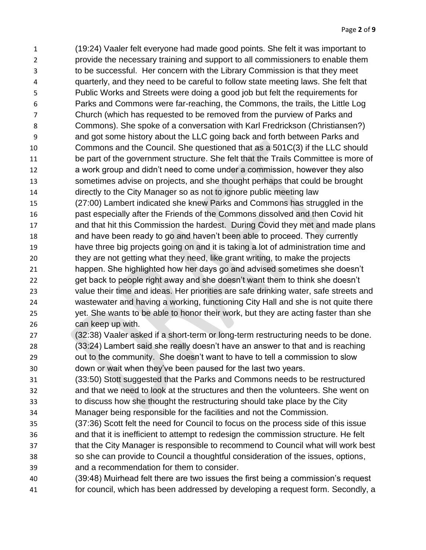(19:24) Vaaler felt everyone had made good points. She felt it was important to provide the necessary training and support to all commissioners to enable them to be successful. Her concern with the Library Commission is that they meet quarterly, and they need to be careful to follow state meeting laws. She felt that Public Works and Streets were doing a good job but felt the requirements for Parks and Commons were far-reaching, the Commons, the trails, the Little Log Church (which has requested to be removed from the purview of Parks and Commons). She spoke of a conversation with Karl Fredrickson (Christiansen?) and got some history about the LLC going back and forth between Parks and Commons and the Council. She questioned that as a 501C(3) if the LLC should be part of the government structure. She felt that the Trails Committee is more of a work group and didn't need to come under a commission, however they also sometimes advise on projects, and she thought perhaps that could be brought directly to the City Manager so as not to ignore public meeting law (27:00) Lambert indicated she knew Parks and Commons has struggled in the past especially after the Friends of the Commons dissolved and then Covid hit and that hit this Commission the hardest. During Covid they met and made plans and have been ready to go and haven't been able to proceed. They currently have three big projects going on and it is taking a lot of administration time and they are not getting what they need, like grant writing, to make the projects happen. She highlighted how her days go and advised sometimes she doesn't get back to people right away and she doesn't want them to think she doesn't value their time and ideas. Her priorities are safe drinking water, safe streets and wastewater and having a working, functioning City Hall and she is not quite there yet. She wants to be able to honor their work, but they are acting faster than she can keep up with. (32:38) Vaaler asked if a short-term or long-term restructuring needs to be done.

- (33:24) Lambert said she really doesn't have an answer to that and is reaching out to the community. She doesn't want to have to tell a commission to slow down or wait when they've been paused for the last two years.
- (33:50) Stott suggested that the Parks and Commons needs to be restructured and that we need to look at the structures and then the volunteers. She went on to discuss how she thought the restructuring should take place by the City
- Manager being responsible for the facilities and not the Commission.
- (37:36) Scott felt the need for Council to focus on the process side of this issue and that it is inefficient to attempt to redesign the commission structure. He felt that the City Manager is responsible to recommend to Council what will work best so she can provide to Council a thoughtful consideration of the issues, options, and a recommendation for them to consider.
- (39:48) Muirhead felt there are two issues the first being a commission's request
- for council, which has been addressed by developing a request form. Secondly, a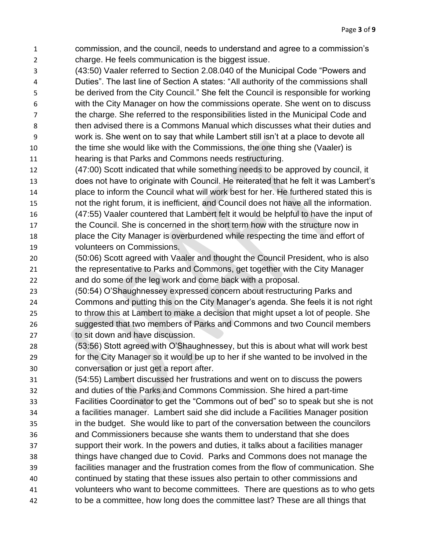- commission, and the council, needs to understand and agree to a commission's charge. He feels communication is the biggest issue.
- (43:50) Vaaler referred to Section 2.08.040 of the Municipal Code "Powers and
- Duties". The last line of Section A states: "All authority of the commissions shall be derived from the City Council." She felt the Council is responsible for working with the City Manager on how the commissions operate. She went on to discuss the charge. She referred to the responsibilities listed in the Municipal Code and then advised there is a Commons Manual which discusses what their duties and work is. She went on to say that while Lambert still isn't at a place to devote all the time she would like with the Commissions, the one thing she (Vaaler) is
- hearing is that Parks and Commons needs restructuring.
- (47:00) Scott indicated that while something needs to be approved by council, it does not have to originate with Council. He reiterated that he felt it was Lambert's place to inform the Council what will work best for her. He furthered stated this is not the right forum, it is inefficient, and Council does not have all the information. (47:55) Vaaler countered that Lambert felt it would be helpful to have the input of the Council. She is concerned in the short term how with the structure now in
- place the City Manager is overburdened while respecting the time and effort of volunteers on Commissions.
- (50:06) Scott agreed with Vaaler and thought the Council President, who is also the representative to Parks and Commons, get together with the City Manager and do some of the leg work and come back with a proposal.
- (50:54) O'Shaughnessey expressed concern about restructuring Parks and Commons and putting this on the City Manager's agenda. She feels it is not right to throw this at Lambert to make a decision that might upset a lot of people. She suggested that two members of Parks and Commons and two Council members 27 to sit down and have discussion.
- (53:56) Stott agreed with O'Shaughnessey, but this is about what will work best for the City Manager so it would be up to her if she wanted to be involved in the conversation or just get a report after.
- (54:55) Lambert discussed her frustrations and went on to discuss the powers and duties of the Parks and Commons Commission. She hired a part-time
- Facilities Coordinator to get the "Commons out of bed" so to speak but she is not
- a facilities manager. Lambert said she did include a Facilities Manager position in the budget. She would like to part of the conversation between the councilors
- and Commissioners because she wants them to understand that she does
- support their work. In the powers and duties, it talks about a facilities manager
- things have changed due to Covid. Parks and Commons does not manage the
- facilities manager and the frustration comes from the flow of communication. She
- continued by stating that these issues also pertain to other commissions and
- volunteers who want to become committees. There are questions as to who gets
- to be a committee, how long does the committee last? These are all things that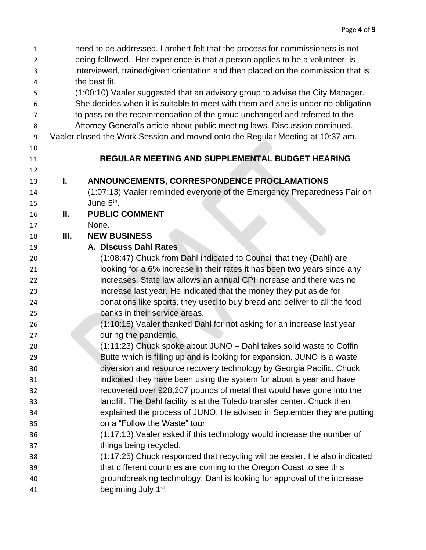| $\mathbf{1}$ |                                                                                  | need to be addressed. Lambert felt that the process for commissioners is not   |  |  |
|--------------|----------------------------------------------------------------------------------|--------------------------------------------------------------------------------|--|--|
| 2            | being followed. Her experience is that a person applies to be a volunteer, is    |                                                                                |  |  |
| 3            | interviewed, trained/given orientation and then placed on the commission that is |                                                                                |  |  |
| 4            | the best fit.                                                                    |                                                                                |  |  |
| 5            | (1:00:10) Vaaler suggested that an advisory group to advise the City Manager.    |                                                                                |  |  |
| 6            | She decides when it is suitable to meet with them and she is under no obligation |                                                                                |  |  |
| 7            | to pass on the recommendation of the group unchanged and referred to the         |                                                                                |  |  |
| 8            | Attorney General's article about public meeting laws. Discussion continued.      |                                                                                |  |  |
| 9            |                                                                                  | Vaaler closed the Work Session and moved onto the Regular Meeting at 10:37 am. |  |  |
| 10           |                                                                                  |                                                                                |  |  |
| 11           |                                                                                  | REGULAR MEETING AND SUPPLEMENTAL BUDGET HEARING                                |  |  |
| 12           |                                                                                  |                                                                                |  |  |
| 13           | L.                                                                               | ANNOUNCEMENTS, CORRESPONDENCE PROCLAMATIONS                                    |  |  |
| 14           |                                                                                  | (1:07:13) Vaaler reminded everyone of the Emergency Preparedness Fair on       |  |  |
| 15           |                                                                                  | June 5 <sup>th</sup> .                                                         |  |  |
| 16           | Ш.                                                                               | <b>PUBLIC COMMENT</b>                                                          |  |  |
| 17           |                                                                                  | None.                                                                          |  |  |
| 18           | Ш.                                                                               | <b>NEW BUSINESS</b>                                                            |  |  |
| 19           |                                                                                  | A. Discuss Dahl Rates                                                          |  |  |
| 20           |                                                                                  | (1:08:47) Chuck from Dahl indicated to Council that they (Dahl) are            |  |  |
| 21           |                                                                                  | looking for a 6% increase in their rates it has been two years since any       |  |  |
| 22           |                                                                                  | increases. State law allows an annual CPI increase and there was no            |  |  |
| 23           |                                                                                  | increase last year. He indicated that the money they put aside for             |  |  |
| 24           |                                                                                  | donations like sports, they used to buy bread and deliver to all the food      |  |  |
| 25           |                                                                                  | banks in their service areas.                                                  |  |  |
| 26           |                                                                                  | (1:10:15) Vaaler thanked Dahl for not asking for an increase last year         |  |  |
| 27           |                                                                                  | during the pandemic.                                                           |  |  |
| 28           |                                                                                  | (1:11:23) Chuck spoke about JUNO - Dahl takes solid waste to Coffin            |  |  |
| 29           |                                                                                  | Butte which is filling up and is looking for expansion. JUNO is a waste        |  |  |
| 30           |                                                                                  | diversion and resource recovery technology by Georgia Pacific. Chuck           |  |  |
| 31           |                                                                                  | indicated they have been using the system for about a year and have            |  |  |
| 32           |                                                                                  | recovered over 928,207 pounds of metal that would have gone into the           |  |  |
| 33           |                                                                                  | landfill. The Dahl facility is at the Toledo transfer center. Chuck then       |  |  |
| 34           |                                                                                  | explained the process of JUNO. He advised in September they are putting        |  |  |
| 35           |                                                                                  | on a "Follow the Waste" tour                                                   |  |  |
| 36           |                                                                                  | (1:17:13) Vaaler asked if this technology would increase the number of         |  |  |
| 37           |                                                                                  | things being recycled.                                                         |  |  |
| 38           |                                                                                  | (1:17:25) Chuck responded that recycling will be easier. He also indicated     |  |  |
| 39           |                                                                                  | that different countries are coming to the Oregon Coast to see this            |  |  |
| 40           |                                                                                  | groundbreaking technology. Dahl is looking for approval of the increase        |  |  |
| 41           |                                                                                  | beginning July 1 <sup>st</sup> .                                               |  |  |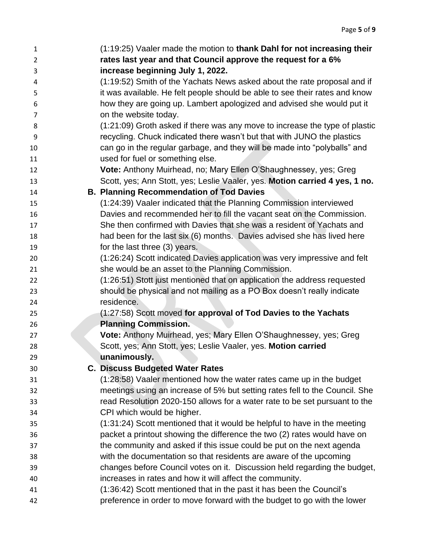| $\mathbf{1}$<br>$\overline{2}$ | (1:19:25) Vaaler made the motion to thank Dahl for not increasing their<br>rates last year and that Council approve the request for a 6% |
|--------------------------------|------------------------------------------------------------------------------------------------------------------------------------------|
| 3                              | increase beginning July 1, 2022.                                                                                                         |
| 4                              | (1:19:52) Smith of the Yachats News asked about the rate proposal and if                                                                 |
| 5                              | it was available. He felt people should be able to see their rates and know                                                              |
| 6                              | how they are going up. Lambert apologized and advised she would put it                                                                   |
| 7                              | on the website today.                                                                                                                    |
| 8                              | (1:21:09) Groth asked if there was any move to increase the type of plastic                                                              |
| 9                              | recycling. Chuck indicated there wasn't but that with JUNO the plastics                                                                  |
| 10                             | can go in the regular garbage, and they will be made into "polyballs" and                                                                |
| 11                             | used for fuel or something else.                                                                                                         |
| 12                             | Vote: Anthony Muirhead, no; Mary Ellen O'Shaughnessey, yes; Greg                                                                         |
| 13                             | Scott, yes; Ann Stott, yes; Leslie Vaaler, yes. Motion carried 4 yes, 1 no.                                                              |
| 14                             | <b>B. Planning Recommendation of Tod Davies</b>                                                                                          |
| 15                             | (1:24:39) Vaaler indicated that the Planning Commission interviewed                                                                      |
| 16                             | Davies and recommended her to fill the vacant seat on the Commission.                                                                    |
| 17                             | She then confirmed with Davies that she was a resident of Yachats and                                                                    |
| 18                             | had been for the last six (6) months. Davies advised she has lived here                                                                  |
| 19                             | for the last three (3) years.                                                                                                            |
| 20                             | (1:26:24) Scott indicated Davies application was very impressive and felt                                                                |
| 21                             | she would be an asset to the Planning Commission.                                                                                        |
| 22                             | (1:26:51) Stott just mentioned that on application the address requested                                                                 |
| 23                             | should be physical and not mailing as a PO Box doesn't really indicate                                                                   |
| 24                             | residence.                                                                                                                               |
| 25                             | (1:27:58) Scott moved for approval of Tod Davies to the Yachats                                                                          |
| 26                             | <b>Planning Commission.</b>                                                                                                              |
| 27                             | Vote: Anthony Muirhead, yes; Mary Ellen O'Shaughnessey, yes; Greg                                                                        |
| 28                             | Scott, yes; Ann Stott, yes; Leslie Vaaler, yes. Motion carried                                                                           |
| 29                             | unanimously.                                                                                                                             |
| 30                             | <b>C. Discuss Budgeted Water Rates</b>                                                                                                   |
| 31                             | (1:28:58) Vaaler mentioned how the water rates came up in the budget                                                                     |
| 32                             | meetings using an increase of 5% but setting rates fell to the Council. She                                                              |
| 33                             | read Resolution 2020-150 allows for a water rate to be set pursuant to the                                                               |
| 34                             | CPI which would be higher.                                                                                                               |
| 35                             | (1:31:24) Scott mentioned that it would be helpful to have in the meeting                                                                |
| 36                             | packet a printout showing the difference the two (2) rates would have on                                                                 |
| 37                             | the community and asked if this issue could be put on the next agenda                                                                    |
| 38                             | with the documentation so that residents are aware of the upcoming                                                                       |
| 39                             | changes before Council votes on it. Discussion held regarding the budget,                                                                |
| 40                             | increases in rates and how it will affect the community.                                                                                 |
| 41                             | (1:36:42) Scott mentioned that in the past it has been the Council's                                                                     |
| 42                             | preference in order to move forward with the budget to go with the lower                                                                 |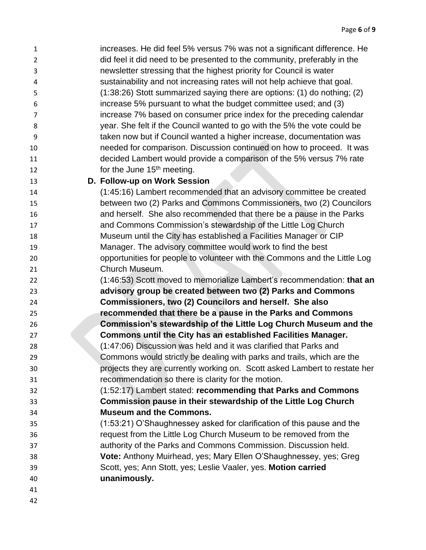- increases. He did feel 5% versus 7% was not a significant difference. He did feel it did need to be presented to the community, preferably in the newsletter stressing that the highest priority for Council is water sustainability and not increasing rates will not help achieve that goal. (1:38:26) Stott summarized saying there are options: (1) do nothing; (2) increase 5% pursuant to what the budget committee used; and (3) increase 7% based on consumer price index for the preceding calendar year. She felt if the Council wanted to go with the 5% the vote could be taken now but if Council wanted a higher increase, documentation was needed for comparison. Discussion continued on how to proceed. It was decided Lambert would provide a comparison of the 5% versus 7% rate 12 for the June  $15<sup>th</sup>$  meeting. **D. Follow-up on Work Session** (1:45:16) Lambert recommended that an advisory committee be created between two (2) Parks and Commons Commissioners, two (2) Councilors and herself. She also recommended that there be a pause in the Parks and Commons Commission's stewardship of the Little Log Church Museum until the City has established a Facilities Manager or CIP Manager. The advisory committee would work to find the best opportunities for people to volunteer with the Commons and the Little Log Church Museum. (1:46:53) Scott moved to memorialize Lambert's recommendation: **that an advisory group be created between two (2) Parks and Commons Commissioners, two (2) Councilors and herself. She also recommended that there be a pause in the Parks and Commons**
- **Commission's stewardship of the Little Log Church Museum and the Commons until the City has an established Facilities Manager.**
- (1:47:06) Discussion was held and it was clarified that Parks and Commons would strictly be dealing with parks and trails, which are the projects they are currently working on. Scott asked Lambert to restate her recommendation so there is clarity for the motion.
- (1:52:17) Lambert stated: **recommending that Parks and Commons Commission pause in their stewardship of the Little Log Church Museum and the Commons.**
- (1:53:21) O'Shaughnessey asked for clarification of this pause and the request from the Little Log Church Museum to be removed from the authority of the Parks and Commons Commission. Discussion held. **Vote:** Anthony Muirhead, yes; Mary Ellen O'Shaughnessey, yes; Greg Scott, yes; Ann Stott, yes; Leslie Vaaler, yes. **Motion carried unanimously.**
-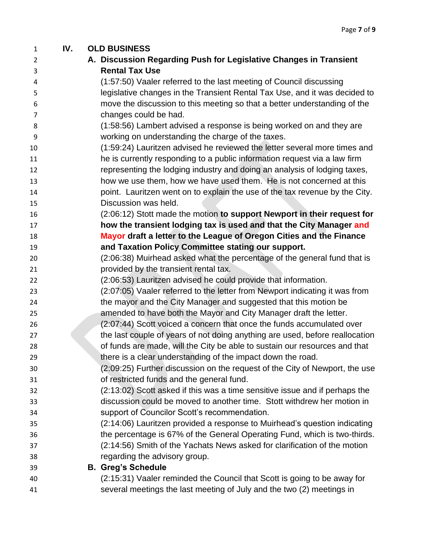| $\mathbf{1}$   | IV. | <b>OLD BUSINESS</b>                                                          |
|----------------|-----|------------------------------------------------------------------------------|
| $\overline{2}$ |     | A. Discussion Regarding Push for Legislative Changes in Transient            |
| 3              |     | <b>Rental Tax Use</b>                                                        |
| 4              |     | (1:57:50) Vaaler referred to the last meeting of Council discussing          |
| 5              |     | legislative changes in the Transient Rental Tax Use, and it was decided to   |
| 6              |     | move the discussion to this meeting so that a better understanding of the    |
| 7              |     | changes could be had.                                                        |
| 8              |     | (1:58:56) Lambert advised a response is being worked on and they are         |
| 9              |     | working on understanding the charge of the taxes.                            |
| 10             |     | (1:59:24) Lauritzen advised he reviewed the letter several more times and    |
| 11             |     | he is currently responding to a public information request via a law firm    |
| 12             |     | representing the lodging industry and doing an analysis of lodging taxes,    |
| 13             |     | how we use them, how we have used them. He is not concerned at this          |
| 14             |     | point. Lauritzen went on to explain the use of the tax revenue by the City.  |
| 15             |     | Discussion was held.                                                         |
| 16             |     | (2:06:12) Stott made the motion to support Newport in their request for      |
| 17             |     | how the transient lodging tax is used and that the City Manager and          |
| 18             |     | Mayor draft a letter to the League of Oregon Cities and the Finance          |
| 19             |     | and Taxation Policy Committee stating our support.                           |
| 20             |     | (2:06:38) Muirhead asked what the percentage of the general fund that is     |
| 21             |     | provided by the transient rental tax.                                        |
| 22             |     | (2:06:53) Lauritzen advised he could provide that information.               |
| 23             |     | (2:07:05) Vaaler referred to the letter from Newport indicating it was from  |
| 24             |     | the mayor and the City Manager and suggested that this motion be             |
| 25             |     | amended to have both the Mayor and City Manager draft the letter.            |
| 26             |     | (2:07:44) Scott voiced a concern that once the funds accumulated over        |
| 27             |     | the last couple of years of not doing anything are used, before reallocation |
| 28             |     | of funds are made, will the City be able to sustain our resources and that   |
| 29             |     | there is a clear understanding of the impact down the road.                  |
| 30             |     | (2:09:25) Further discussion on the request of the City of Newport, the use  |
| 31             |     | of restricted funds and the general fund.                                    |
| 32             |     | (2:13:02) Scott asked if this was a time sensitive issue and if perhaps the  |
| 33             |     | discussion could be moved to another time. Stott withdrew her motion in      |
| 34             |     | support of Councilor Scott's recommendation.                                 |
| 35             |     | (2:14:06) Lauritzen provided a response to Muirhead's question indicating    |
| 36             |     | the percentage is 67% of the General Operating Fund, which is two-thirds.    |
| 37             |     | (2:14:56) Smith of the Yachats News asked for clarification of the motion    |
| 38             |     | regarding the advisory group.                                                |
| 39             |     | <b>B. Greg's Schedule</b>                                                    |
| 40             |     | (2:15:31) Vaaler reminded the Council that Scott is going to be away for     |
| 41             |     | several meetings the last meeting of July and the two (2) meetings in        |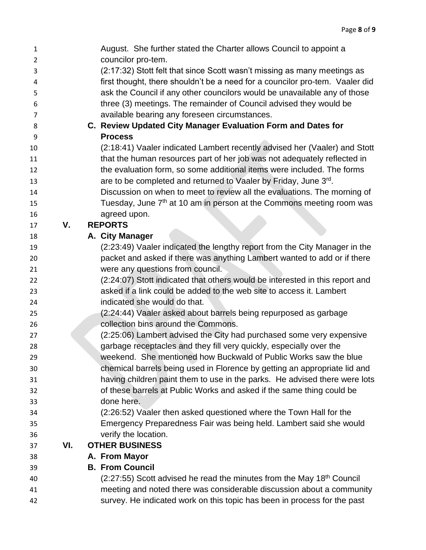| $\mathbf{1}$   |     | August. She further stated the Charter allows Council to appoint a                  |
|----------------|-----|-------------------------------------------------------------------------------------|
| $\overline{2}$ |     | councilor pro-tem.                                                                  |
| 3              |     | (2:17:32) Stott felt that since Scott wasn't missing as many meetings as            |
| 4              |     | first thought, there shouldn't be a need for a councilor pro-tem. Vaaler did        |
| 5              |     | ask the Council if any other councilors would be unavailable any of those           |
| 6              |     | three (3) meetings. The remainder of Council advised they would be                  |
| 7              |     | available bearing any foreseen circumstances.                                       |
| 8              |     | C. Review Updated City Manager Evaluation Form and Dates for                        |
| 9              |     | <b>Process</b>                                                                      |
| 10             |     | (2:18:41) Vaaler indicated Lambert recently advised her (Vaaler) and Stott          |
| 11             |     | that the human resources part of her job was not adequately reflected in            |
| 12             |     | the evaluation form, so some additional items were included. The forms              |
| 13             |     | are to be completed and returned to Vaaler by Friday, June 3rd.                     |
| 14             |     | Discussion on when to meet to review all the evaluations. The morning of            |
| 15             |     | Tuesday, June 7 <sup>th</sup> at 10 am in person at the Commons meeting room was    |
| 16             |     | agreed upon.                                                                        |
| 17             | V.  | <b>REPORTS</b>                                                                      |
| 18             |     | A. City Manager                                                                     |
| 19             |     | (2:23:49) Vaaler indicated the lengthy report from the City Manager in the          |
| 20             |     | packet and asked if there was anything Lambert wanted to add or if there            |
| 21             |     | were any questions from council.                                                    |
| 22             |     | (2:24:07) Stott indicated that others would be interested in this report and        |
| 23             |     | asked if a link could be added to the web site to access it. Lambert                |
| 24             |     | indicated she would do that.                                                        |
| 25             |     | (2:24:44) Vaaler asked about barrels being repurposed as garbage                    |
| 26             |     | collection bins around the Commons.                                                 |
| 27             |     | (2:25:06) Lambert advised the City had purchased some very expensive                |
| 28             |     | garbage receptacles and they fill very quickly, especially over the                 |
| 29             |     | weekend. She mentioned how Buckwald of Public Works saw the blue                    |
| 30             |     | chemical barrels being used in Florence by getting an appropriate lid and           |
| 31             |     | having children paint them to use in the parks. He advised there were lots          |
| 32             |     | of these barrels at Public Works and asked if the same thing could be               |
| 33             |     | done here.                                                                          |
| 34             |     | (2:26:52) Vaaler then asked questioned where the Town Hall for the                  |
| 35             |     | Emergency Preparedness Fair was being held. Lambert said she would                  |
| 36             |     | verify the location.                                                                |
| 37             | VI. | <b>OTHER BUSINESS</b>                                                               |
| 38             |     | A. From Mayor                                                                       |
| 39             |     | <b>B. From Council</b>                                                              |
| 40             |     | $(2:27:55)$ Scott advised he read the minutes from the May 18 <sup>th</sup> Council |
| 41             |     | meeting and noted there was considerable discussion about a community               |
| 42             |     | survey. He indicated work on this topic has been in process for the past            |